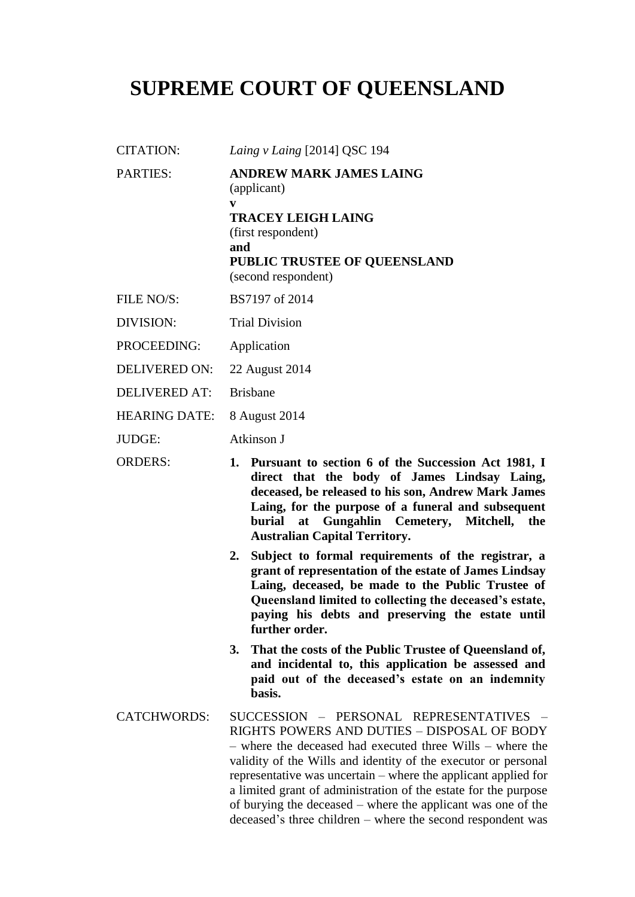# **SUPREME COURT OF QUEENSLAND**

- CITATION: *Laing v Laing* [2014] QSC 194
- PARTIES: **ANDREW MARK JAMES LAING** (applicant) **v TRACEY LEIGH LAING**

(first respondent)

**and**

### **PUBLIC TRUSTEE OF QUEENSLAND** (second respondent)

- FILE NO/S: BS7197 of 2014
- DIVISION: Trial Division
- PROCEEDING: Application
- DELIVERED ON: 22 August 2014
- DELIVERED AT: Brisbane
- HEARING DATE: 8 August 2014
- JUDGE: Atkinson J
- ORDERS: **1. Pursuant to section 6 of the Succession Act 1981, I direct that the body of James Lindsay Laing, deceased, be released to his son, Andrew Mark James Laing, for the purpose of a funeral and subsequent burial at Gungahlin Cemetery, Mitchell, the Australian Capital Territory.**
	- **2. Subject to formal requirements of the registrar, a grant of representation of the estate of James Lindsay Laing, deceased, be made to the Public Trustee of Queensland limited to collecting the deceased's estate, paying his debts and preserving the estate until further order.**
	- **3. That the costs of the Public Trustee of Queensland of, and incidental to, this application be assessed and paid out of the deceased's estate on an indemnity basis.**
- CATCHWORDS: SUCCESSION PERSONAL REPRESENTATIVES RIGHTS POWERS AND DUTIES – DISPOSAL OF BODY – where the deceased had executed three Wills – where the validity of the Wills and identity of the executor or personal representative was uncertain – where the applicant applied for a limited grant of administration of the estate for the purpose of burying the deceased – where the applicant was one of the deceased's three children – where the second respondent was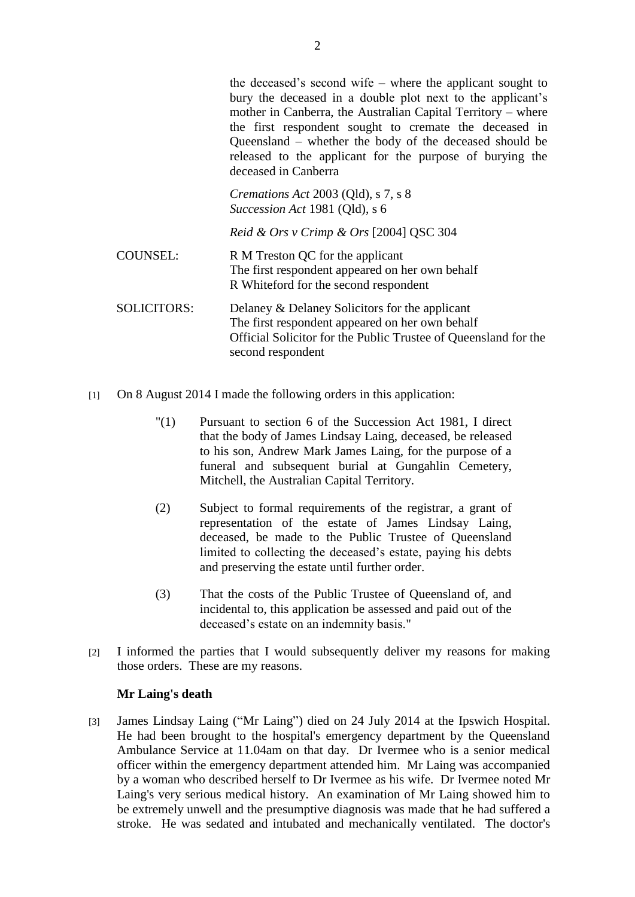the deceased's second wife – where the applicant sought to bury the deceased in a double plot next to the applicant's mother in Canberra, the Australian Capital Territory – where the first respondent sought to cremate the deceased in Queensland – whether the body of the deceased should be released to the applicant for the purpose of burying the deceased in Canberra

*Cremations Act* 2003 (Qld), s 7, s 8 *Succession Act* 1981 (Qld), s 6

*Reid & Ors v Crimp & Ors* [2004] QSC 304

- COUNSEL: R M Treston QC for the applicant The first respondent appeared on her own behalf R Whiteford for the second respondent
- SOLICITORS: Delaney & Delaney Solicitors for the applicant The first respondent appeared on her own behalf Official Solicitor for the Public Trustee of Queensland for the second respondent
- [1] On 8 August 2014 I made the following orders in this application:
	- "(1) Pursuant to section 6 of the Succession Act 1981, I direct that the body of James Lindsay Laing, deceased, be released to his son, Andrew Mark James Laing, for the purpose of a funeral and subsequent burial at Gungahlin Cemetery, Mitchell, the Australian Capital Territory.
	- (2) Subject to formal requirements of the registrar, a grant of representation of the estate of James Lindsay Laing, deceased, be made to the Public Trustee of Queensland limited to collecting the deceased's estate, paying his debts and preserving the estate until further order.
	- (3) That the costs of the Public Trustee of Queensland of, and incidental to, this application be assessed and paid out of the deceased's estate on an indemnity basis."
- [2] I informed the parties that I would subsequently deliver my reasons for making those orders. These are my reasons.

### **Mr Laing's death**

[3] James Lindsay Laing ("Mr Laing") died on 24 July 2014 at the Ipswich Hospital. He had been brought to the hospital's emergency department by the Queensland Ambulance Service at 11.04am on that day. Dr Ivermee who is a senior medical officer within the emergency department attended him. Mr Laing was accompanied by a woman who described herself to Dr Ivermee as his wife. Dr Ivermee noted Mr Laing's very serious medical history. An examination of Mr Laing showed him to be extremely unwell and the presumptive diagnosis was made that he had suffered a stroke. He was sedated and intubated and mechanically ventilated. The doctor's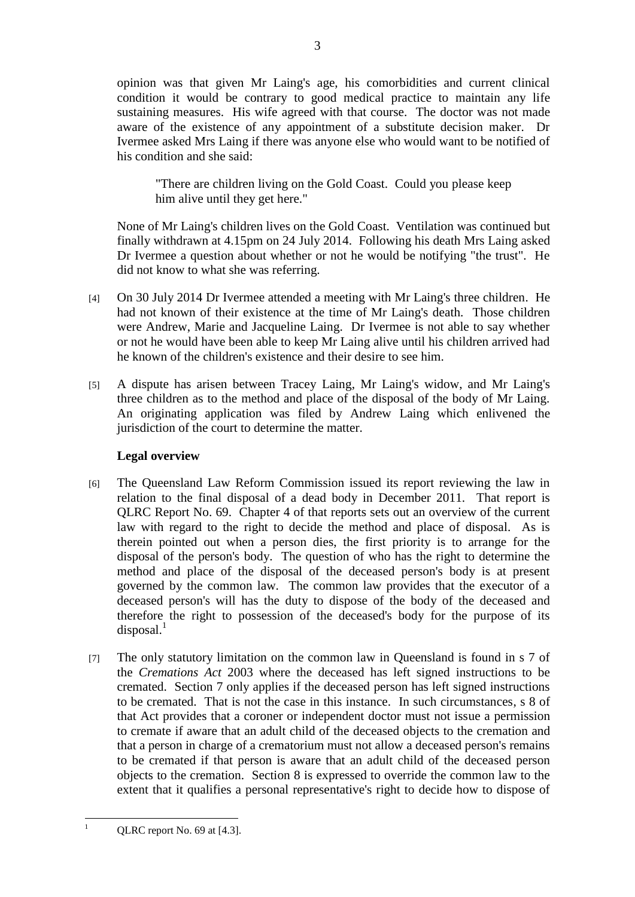opinion was that given Mr Laing's age, his comorbidities and current clinical condition it would be contrary to good medical practice to maintain any life sustaining measures. His wife agreed with that course. The doctor was not made aware of the existence of any appointment of a substitute decision maker. Dr Ivermee asked Mrs Laing if there was anyone else who would want to be notified of his condition and she said:

"There are children living on the Gold Coast. Could you please keep him alive until they get here."

None of Mr Laing's children lives on the Gold Coast. Ventilation was continued but finally withdrawn at 4.15pm on 24 July 2014. Following his death Mrs Laing asked Dr Ivermee a question about whether or not he would be notifying "the trust". He did not know to what she was referring.

- [4] On 30 July 2014 Dr Ivermee attended a meeting with Mr Laing's three children. He had not known of their existence at the time of Mr Laing's death. Those children were Andrew, Marie and Jacqueline Laing. Dr Ivermee is not able to say whether or not he would have been able to keep Mr Laing alive until his children arrived had he known of the children's existence and their desire to see him.
- [5] A dispute has arisen between Tracey Laing, Mr Laing's widow, and Mr Laing's three children as to the method and place of the disposal of the body of Mr Laing. An originating application was filed by Andrew Laing which enlivened the jurisdiction of the court to determine the matter.

## **Legal overview**

- [6] The Queensland Law Reform Commission issued its report reviewing the law in relation to the final disposal of a dead body in December 2011. That report is QLRC Report No. 69. Chapter 4 of that reports sets out an overview of the current law with regard to the right to decide the method and place of disposal. As is therein pointed out when a person dies, the first priority is to arrange for the disposal of the person's body. The question of who has the right to determine the method and place of the disposal of the deceased person's body is at present governed by the common law. The common law provides that the executor of a deceased person's will has the duty to dispose of the body of the deceased and therefore the right to possession of the deceased's body for the purpose of its  $disposal.$ <sup>1</sup>
- [7] The only statutory limitation on the common law in Queensland is found in s 7 of the *Cremations Act* 2003 where the deceased has left signed instructions to be cremated. Section 7 only applies if the deceased person has left signed instructions to be cremated. That is not the case in this instance. In such circumstances, s 8 of that Act provides that a coroner or independent doctor must not issue a permission to cremate if aware that an adult child of the deceased objects to the cremation and that a person in charge of a crematorium must not allow a deceased person's remains to be cremated if that person is aware that an adult child of the deceased person objects to the cremation. Section 8 is expressed to override the common law to the extent that it qualifies a personal representative's right to decide how to dispose of

 $\mathbf{1}$ 

QLRC report No. 69 at [4.3].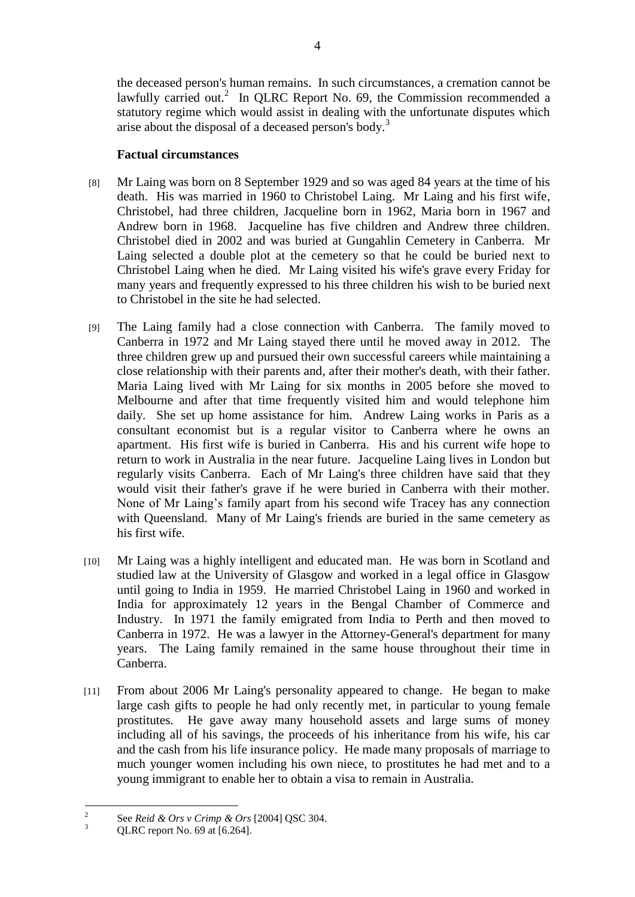the deceased person's human remains. In such circumstances, a cremation cannot be lawfully carried out.<sup>2</sup> In QLRC Report No. 69, the Commission recommended a statutory regime which would assist in dealing with the unfortunate disputes which arise about the disposal of a deceased person's body.<sup>3</sup>

## **Factual circumstances**

- [8] Mr Laing was born on 8 September 1929 and so was aged 84 years at the time of his death. His was married in 1960 to Christobel Laing. Mr Laing and his first wife, Christobel, had three children, Jacqueline born in 1962, Maria born in 1967 and Andrew born in 1968. Jacqueline has five children and Andrew three children. Christobel died in 2002 and was buried at Gungahlin Cemetery in Canberra. Mr Laing selected a double plot at the cemetery so that he could be buried next to Christobel Laing when he died. Mr Laing visited his wife's grave every Friday for many years and frequently expressed to his three children his wish to be buried next to Christobel in the site he had selected.
- [9] The Laing family had a close connection with Canberra. The family moved to Canberra in 1972 and Mr Laing stayed there until he moved away in 2012. The three children grew up and pursued their own successful careers while maintaining a close relationship with their parents and, after their mother's death, with their father. Maria Laing lived with Mr Laing for six months in 2005 before she moved to Melbourne and after that time frequently visited him and would telephone him daily. She set up home assistance for him. Andrew Laing works in Paris as a consultant economist but is a regular visitor to Canberra where he owns an apartment. His first wife is buried in Canberra. His and his current wife hope to return to work in Australia in the near future. Jacqueline Laing lives in London but regularly visits Canberra. Each of Mr Laing's three children have said that they would visit their father's grave if he were buried in Canberra with their mother. None of Mr Laing's family apart from his second wife Tracey has any connection with Queensland. Many of Mr Laing's friends are buried in the same cemetery as his first wife.
- [10] Mr Laing was a highly intelligent and educated man. He was born in Scotland and studied law at the University of Glasgow and worked in a legal office in Glasgow until going to India in 1959. He married Christobel Laing in 1960 and worked in India for approximately 12 years in the Bengal Chamber of Commerce and Industry. In 1971 the family emigrated from India to Perth and then moved to Canberra in 1972. He was a lawyer in the Attorney-General's department for many years. The Laing family remained in the same house throughout their time in Canberra.
- [11] From about 2006 Mr Laing's personality appeared to change. He began to make large cash gifts to people he had only recently met, in particular to young female prostitutes. He gave away many household assets and large sums of money including all of his savings, the proceeds of his inheritance from his wife, his car and the cash from his life insurance policy. He made many proposals of marriage to much younger women including his own niece, to prostitutes he had met and to a young immigrant to enable her to obtain a visa to remain in Australia.

 $\frac{1}{2}$ See *Reid & Ors v Crimp & Ors* [2004] QSC 304.

 $3$  QLRC report No. 69 at [6.264].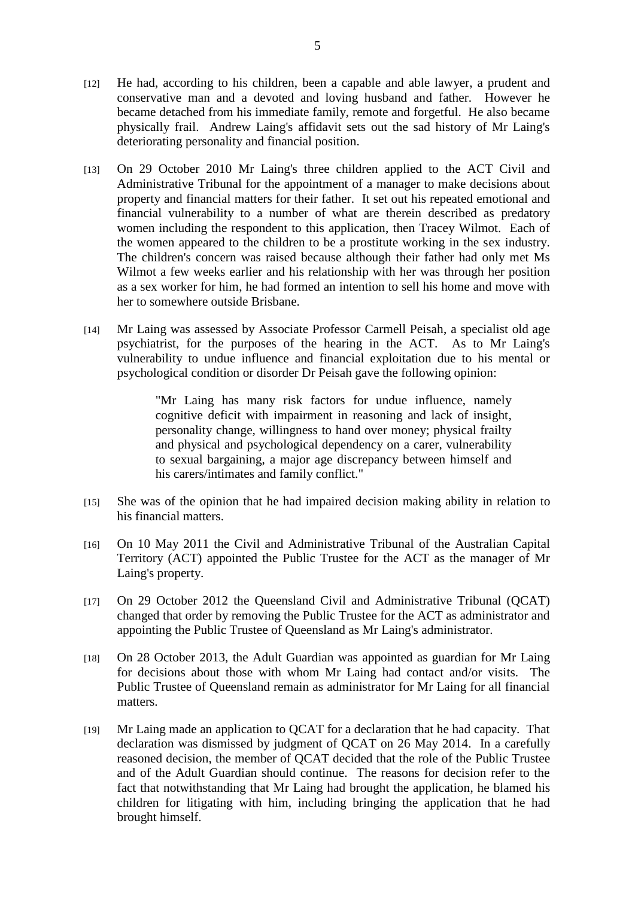- [12] He had, according to his children, been a capable and able lawyer, a prudent and conservative man and a devoted and loving husband and father. However he became detached from his immediate family, remote and forgetful. He also became physically frail. Andrew Laing's affidavit sets out the sad history of Mr Laing's deteriorating personality and financial position.
- [13] On 29 October 2010 Mr Laing's three children applied to the ACT Civil and Administrative Tribunal for the appointment of a manager to make decisions about property and financial matters for their father. It set out his repeated emotional and financial vulnerability to a number of what are therein described as predatory women including the respondent to this application, then Tracey Wilmot. Each of the women appeared to the children to be a prostitute working in the sex industry. The children's concern was raised because although their father had only met Ms Wilmot a few weeks earlier and his relationship with her was through her position as a sex worker for him, he had formed an intention to sell his home and move with her to somewhere outside Brisbane.
- [14] Mr Laing was assessed by Associate Professor Carmell Peisah, a specialist old age psychiatrist, for the purposes of the hearing in the ACT. As to Mr Laing's vulnerability to undue influence and financial exploitation due to his mental or psychological condition or disorder Dr Peisah gave the following opinion:

"Mr Laing has many risk factors for undue influence, namely cognitive deficit with impairment in reasoning and lack of insight, personality change, willingness to hand over money; physical frailty and physical and psychological dependency on a carer, vulnerability to sexual bargaining, a major age discrepancy between himself and his carers/intimates and family conflict."

- [15] She was of the opinion that he had impaired decision making ability in relation to his financial matters.
- [16] On 10 May 2011 the Civil and Administrative Tribunal of the Australian Capital Territory (ACT) appointed the Public Trustee for the ACT as the manager of Mr Laing's property.
- [17] On 29 October 2012 the Queensland Civil and Administrative Tribunal (QCAT) changed that order by removing the Public Trustee for the ACT as administrator and appointing the Public Trustee of Queensland as Mr Laing's administrator.
- [18] On 28 October 2013, the Adult Guardian was appointed as guardian for Mr Laing for decisions about those with whom Mr Laing had contact and/or visits. The Public Trustee of Queensland remain as administrator for Mr Laing for all financial matters.
- [19] Mr Laing made an application to QCAT for a declaration that he had capacity. That declaration was dismissed by judgment of QCAT on 26 May 2014. In a carefully reasoned decision, the member of QCAT decided that the role of the Public Trustee and of the Adult Guardian should continue. The reasons for decision refer to the fact that notwithstanding that Mr Laing had brought the application, he blamed his children for litigating with him, including bringing the application that he had brought himself.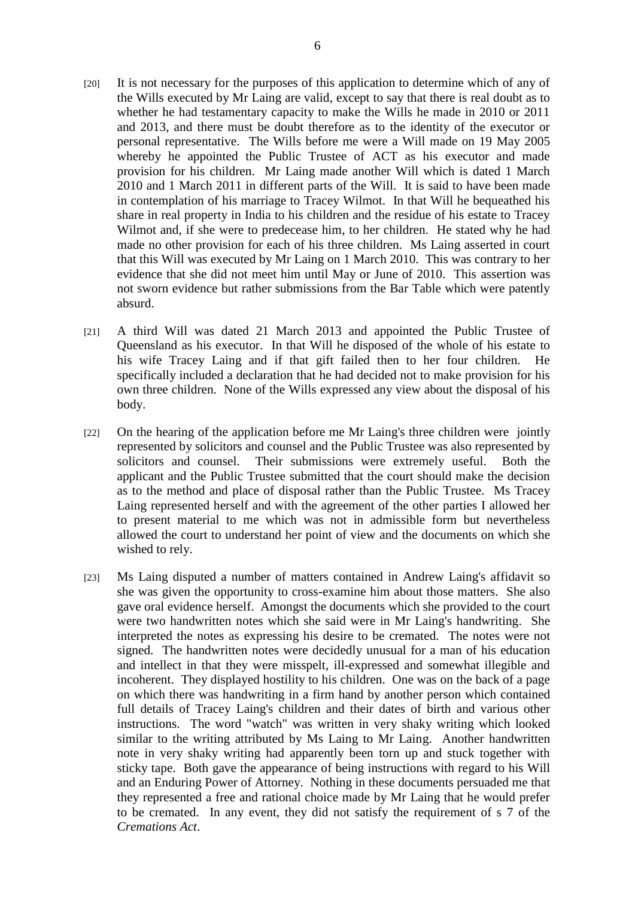- [20] It is not necessary for the purposes of this application to determine which of any of the Wills executed by Mr Laing are valid, except to say that there is real doubt as to whether he had testamentary capacity to make the Wills he made in 2010 or 2011 and 2013, and there must be doubt therefore as to the identity of the executor or personal representative. The Wills before me were a Will made on 19 May 2005 whereby he appointed the Public Trustee of ACT as his executor and made provision for his children. Mr Laing made another Will which is dated 1 March 2010 and 1 March 2011 in different parts of the Will. It is said to have been made in contemplation of his marriage to Tracey Wilmot. In that Will he bequeathed his share in real property in India to his children and the residue of his estate to Tracey Wilmot and, if she were to predecease him, to her children. He stated why he had made no other provision for each of his three children. Ms Laing asserted in court that this Will was executed by Mr Laing on 1 March 2010. This was contrary to her evidence that she did not meet him until May or June of 2010. This assertion was not sworn evidence but rather submissions from the Bar Table which were patently absurd.
- [21] A third Will was dated 21 March 2013 and appointed the Public Trustee of Queensland as his executor. In that Will he disposed of the whole of his estate to his wife Tracey Laing and if that gift failed then to her four children. He specifically included a declaration that he had decided not to make provision for his own three children. None of the Wills expressed any view about the disposal of his body.
- [22] On the hearing of the application before me Mr Laing's three children were jointly represented by solicitors and counsel and the Public Trustee was also represented by solicitors and counsel. Their submissions were extremely useful. Both the applicant and the Public Trustee submitted that the court should make the decision as to the method and place of disposal rather than the Public Trustee. Ms Tracey Laing represented herself and with the agreement of the other parties I allowed her to present material to me which was not in admissible form but nevertheless allowed the court to understand her point of view and the documents on which she wished to rely.
- [23] Ms Laing disputed a number of matters contained in Andrew Laing's affidavit so she was given the opportunity to cross-examine him about those matters. She also gave oral evidence herself. Amongst the documents which she provided to the court were two handwritten notes which she said were in Mr Laing's handwriting. She interpreted the notes as expressing his desire to be cremated. The notes were not signed. The handwritten notes were decidedly unusual for a man of his education and intellect in that they were misspelt, ill-expressed and somewhat illegible and incoherent. They displayed hostility to his children. One was on the back of a page on which there was handwriting in a firm hand by another person which contained full details of Tracey Laing's children and their dates of birth and various other instructions. The word "watch" was written in very shaky writing which looked similar to the writing attributed by Ms Laing to Mr Laing. Another handwritten note in very shaky writing had apparently been torn up and stuck together with sticky tape. Both gave the appearance of being instructions with regard to his Will and an Enduring Power of Attorney. Nothing in these documents persuaded me that they represented a free and rational choice made by Mr Laing that he would prefer to be cremated. In any event, they did not satisfy the requirement of s 7 of the *Cremations Act*.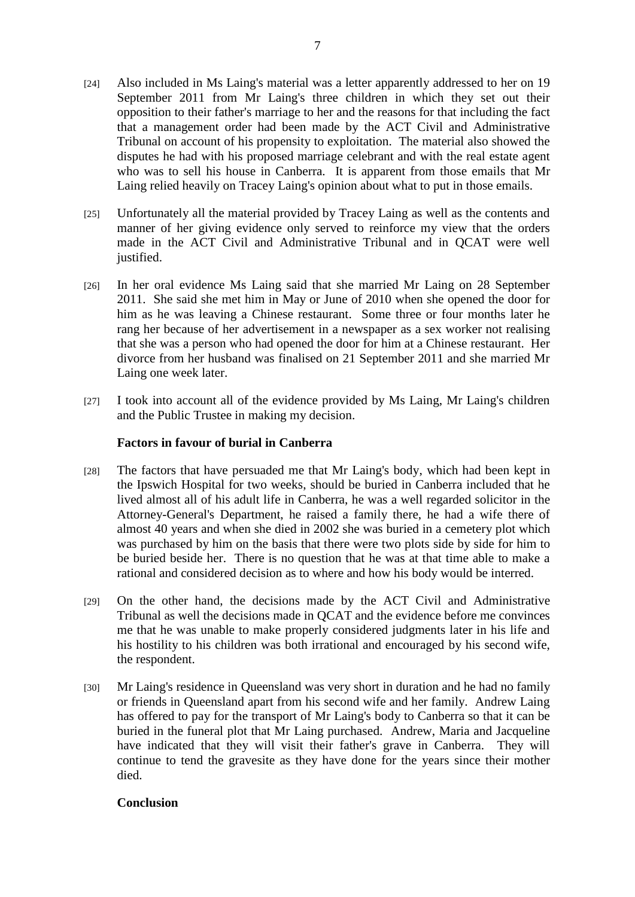- [24] Also included in Ms Laing's material was a letter apparently addressed to her on 19 September 2011 from Mr Laing's three children in which they set out their opposition to their father's marriage to her and the reasons for that including the fact that a management order had been made by the ACT Civil and Administrative Tribunal on account of his propensity to exploitation. The material also showed the disputes he had with his proposed marriage celebrant and with the real estate agent who was to sell his house in Canberra. It is apparent from those emails that Mr Laing relied heavily on Tracey Laing's opinion about what to put in those emails.
- [25] Unfortunately all the material provided by Tracey Laing as well as the contents and manner of her giving evidence only served to reinforce my view that the orders made in the ACT Civil and Administrative Tribunal and in QCAT were well justified.
- [26] In her oral evidence Ms Laing said that she married Mr Laing on 28 September 2011. She said she met him in May or June of 2010 when she opened the door for him as he was leaving a Chinese restaurant. Some three or four months later he rang her because of her advertisement in a newspaper as a sex worker not realising that she was a person who had opened the door for him at a Chinese restaurant. Her divorce from her husband was finalised on 21 September 2011 and she married Mr Laing one week later.
- [27] I took into account all of the evidence provided by Ms Laing, Mr Laing's children and the Public Trustee in making my decision.

### **Factors in favour of burial in Canberra**

- [28] The factors that have persuaded me that Mr Laing's body, which had been kept in the Ipswich Hospital for two weeks, should be buried in Canberra included that he lived almost all of his adult life in Canberra, he was a well regarded solicitor in the Attorney-General's Department, he raised a family there, he had a wife there of almost 40 years and when she died in 2002 she was buried in a cemetery plot which was purchased by him on the basis that there were two plots side by side for him to be buried beside her. There is no question that he was at that time able to make a rational and considered decision as to where and how his body would be interred.
- [29] On the other hand, the decisions made by the ACT Civil and Administrative Tribunal as well the decisions made in QCAT and the evidence before me convinces me that he was unable to make properly considered judgments later in his life and his hostility to his children was both irrational and encouraged by his second wife, the respondent.
- [30] Mr Laing's residence in Queensland was very short in duration and he had no family or friends in Queensland apart from his second wife and her family. Andrew Laing has offered to pay for the transport of Mr Laing's body to Canberra so that it can be buried in the funeral plot that Mr Laing purchased. Andrew, Maria and Jacqueline have indicated that they will visit their father's grave in Canberra. They will continue to tend the gravesite as they have done for the years since their mother died.

## **Conclusion**